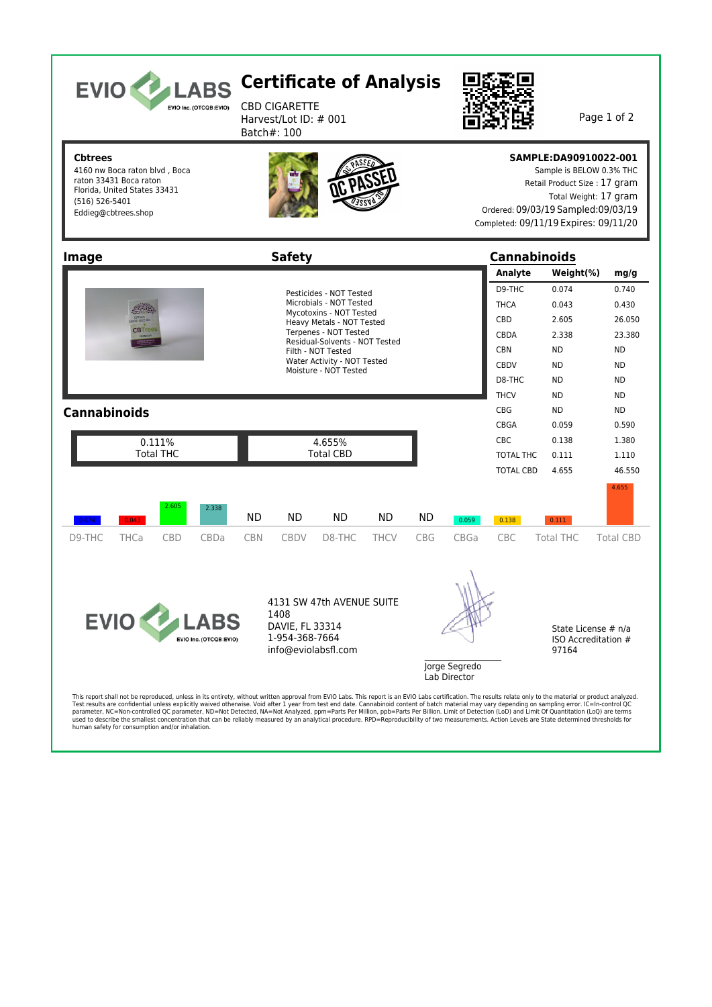| <b>EVIO</b><br><b>LABS</b><br>EVIO Inc. (OTCQB:EVIO)                                                                                               | <b>Certificate of Analysis</b><br><b>CBD CIGARETTE</b><br>Harvest/Lot ID: # 001<br>Batch#: 100                                                                                                                                                                                    |                                                                                                                                                                        | Page 1 of 2                                                                                                                                                                                                                                                                          |
|----------------------------------------------------------------------------------------------------------------------------------------------------|-----------------------------------------------------------------------------------------------------------------------------------------------------------------------------------------------------------------------------------------------------------------------------------|------------------------------------------------------------------------------------------------------------------------------------------------------------------------|--------------------------------------------------------------------------------------------------------------------------------------------------------------------------------------------------------------------------------------------------------------------------------------|
| <b>Cbtrees</b><br>4160 nw Boca raton blvd, Boca<br>raton 33431 Boca raton<br>Florida, United States 33431<br>(516) 526-5401<br>Eddieg@cbtrees.shop |                                                                                                                                                                                                                                                                                   |                                                                                                                                                                        | SAMPLE:DA90910022-001<br>Sample is BELOW 0.3% THC<br>Retail Product Size: 17 gram<br>Total Weight: 17 gram<br>Ordered: 09/03/19 Sampled: 09/03/19<br>Completed: 09/11/19 Expires: 09/11/20                                                                                           |
| <b>Image</b>                                                                                                                                       | <b>Safety</b>                                                                                                                                                                                                                                                                     | <b>Cannabinoids</b>                                                                                                                                                    |                                                                                                                                                                                                                                                                                      |
|                                                                                                                                                    |                                                                                                                                                                                                                                                                                   | Analyte                                                                                                                                                                | Weight(%)<br>mg/g                                                                                                                                                                                                                                                                    |
| <b>Cannabinoids</b><br>0.111%<br><b>Total THC</b>                                                                                                  | Pesticides - NOT Tested<br>Microbials - NOT Tested<br>Mycotoxins - NOT Tested<br>Heavy Metals - NOT Tested<br>Terpenes - NOT Tested<br>Residual-Solvents - NOT Tested<br>Filth - NOT Tested<br>Water Activity - NOT Tested<br>Moisture - NOT Tested<br>4.655%<br><b>Total CBD</b> | D9-THC<br><b>THCA</b><br><b>CBD</b><br>CBDA<br><b>CBN</b><br><b>CBDV</b><br>D8-THC<br><b>THCV</b><br><b>CBG</b><br>CBGA<br><b>CBC</b><br>TOTAL THC<br><b>TOTAL CBD</b> | 0.074<br>0.740<br>0.043<br>0.430<br>2.605<br>26.050<br>2.338<br>23.380<br><b>ND</b><br><b>ND</b><br><b>ND</b><br><b>ND</b><br><b>ND</b><br><b>ND</b><br><b>ND</b><br><b>ND</b><br><b>ND</b><br>ND.<br>0.059<br>0.590<br>0.138<br>1.380<br>0.111<br>1.110<br>46.550<br>4.655<br>4.655 |
| 2.605<br>2.338                                                                                                                                     |                                                                                                                                                                                                                                                                                   |                                                                                                                                                                        |                                                                                                                                                                                                                                                                                      |
| 0.074<br>0.043                                                                                                                                     | <b>ND</b><br><b>ND</b><br><b>ND</b><br>ND.<br><b>ND</b>                                                                                                                                                                                                                           | 0.059<br>0.138                                                                                                                                                         | 0.111                                                                                                                                                                                                                                                                                |
| D9-THC<br><b>THCa</b><br><b>CBD</b><br>CBDa                                                                                                        | <b>CBN</b><br><b>CBDV</b><br>D8-THC<br><b>THCV</b><br><b>CBG</b>                                                                                                                                                                                                                  | CBGa<br>CBC                                                                                                                                                            | <b>Total THC</b><br><b>Total CBD</b>                                                                                                                                                                                                                                                 |
| <b>EVIO LAB</b><br>EVIO Inc. (OTCQB:EVIO)                                                                                                          | 4131 SW 47th AVENUE SUITE<br>1408<br>DAVIE, FL 33314<br>1-954-368-7664<br>info@eviolabsfl.com                                                                                                                                                                                     | Jorge Segredo<br>Lab Director                                                                                                                                          | State License # n/a<br>ISO Accreditation #<br>97164                                                                                                                                                                                                                                  |

This report shall not be reproduced, unless in its entirety, without written approval from EVIO Labs. This report is an EVIO Labs certification. The results relate only to the material mersual reduct analyzed to product an